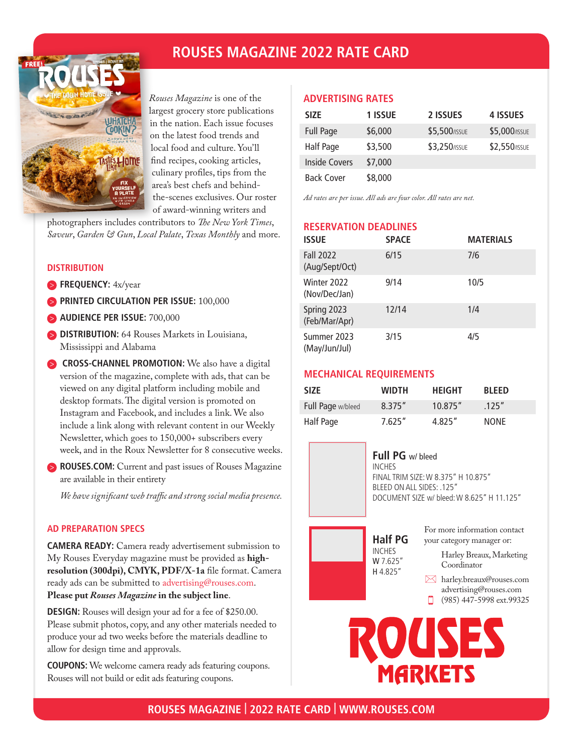## **ROUSES MAGAZINE 2022 RATE CARD**



*Rouses Magazine* is one of the largest grocery store publications in the nation. Each issue focuses on the latest food trends and local food and culture. You'll find recipes, cooking articles, culinary profiles, tips from the area's best chefs and behindthe-scenes exclusives. Our roster of award-winning writers and

photographers includes contributors to *The New York Times*, *Saveur*, *Garden & Gun*, *Local Palate*, *Texas Monthly* and more.

#### **DISTRIBUTION**

- **FREQUENCY:** 4x/year
- **PRINTED CIRCULATION PER ISSUE: 100,000**
- **AUDIENCE PER ISSUE:** 700,000
- **DISTRIBUTION:** 64 Rouses Markets in Louisiana, Mississippi and Alabama
- **CROSS-CHANNEL PROMOTION:** We also have a digital version of the magazine, complete with ads, that can be viewed on any digital platform including mobile and desktop formats. The digital version is promoted on Instagram and Facebook, and includes a link. We also include a link along with relevant content in our Weekly Newsletter, which goes to 150,000+ subscribers every week, and in the Roux Newsletter for 8 consecutive weeks.
- **ROUSES.COM:** Current and past issues of Rouses Magazine are available in their entirety

*We have significant web traffic and strong social media presence.*

#### **AD PREPARATION SPECS**

**CAMERA READY:** Camera ready advertisement submission to My Rouses Everyday magazine must be provided as **highresolution (300dpi), CMYK, PDF/X-1a** file format. Camera ready ads can be submitted to advertising@rouses.com. **Please put** *Rouses Magazine* **in the subject line**.

**DESIGN:** Rouses will design your ad for a fee of \$250.00. Please submit photos, copy, and any other materials needed to produce your ad two weeks before the materials deadline to allow for design time and approvals.

**COUPONS:** We welcome camera ready ads featuring coupons. Rouses will not build or edit ads featuring coupons.

#### **ADVERTISING RATES**

| <b>SIZE</b>       | 1 ISSUE | 2 ISSUES      | 4 ISSUES      |
|-------------------|---------|---------------|---------------|
| <b>Full Page</b>  | \$6,000 | \$5,500/ISSUE | \$5,000/ISSUE |
| Half Page         | \$3,500 | \$3,250/ISSUE | \$2,550/ISSUE |
| Inside Covers     | \$7,000 |               |               |
| <b>Back Cover</b> | \$8,000 |               |               |

*Ad rates are per issue. All ads are four color. All rates are net.*

#### **RESERVATION DEADLINES**

| <b>ISSUE</b>                       | <b>SPACE</b> | <b>MATERIALS</b> |
|------------------------------------|--------------|------------------|
| <b>Fall 2022</b><br>(Aug/Sept/Oct) | 6/15         | 7/6              |
| Winter 2022<br>(Nov/Dec/Jan)       | 9/14         | 10/5             |
| Spring 2023<br>(Feb/Mar/Apr)       | 12/14        | 1/4              |
| Summer 2023<br>(May/Jun/Jul)       | 3/15         | 4/5              |

#### **MECHANICAL REQUIREMENTS**

| <b>SIZE</b>       | <b>WIDTH</b> | <b>HEIGHT</b> | <b>BLEED</b> |
|-------------------|--------------|---------------|--------------|
| Full Page w/bleed | 8.375''      | 10.875''      | .125''       |
| Half Page         | 7.625''      | 4.825"        | <b>NONE</b>  |

### **Full PG** w/ bleed

INCHES FINAL TRIM SIZE: W 8.375" H 10.875" BLEED ON ALL SIDES: .125" DOCUMENT SIZE w/ bleed: W 8.625" H 11.125"



For more information contact your category manager or:

> Harley Breaux, Marketing Coordinator

- harley.breaux@rouses.com advertising@rouses.com
- п (985) 447-5998 ext.99325

MARKETS